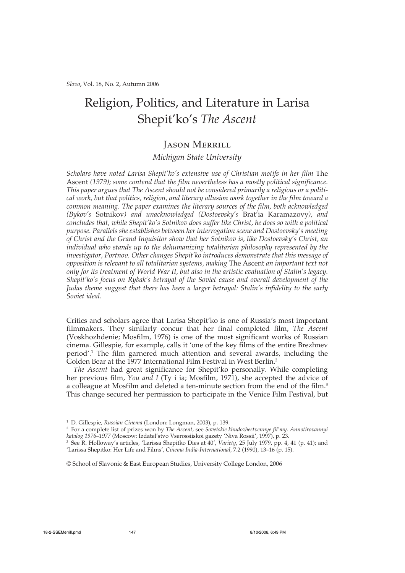*Slovo*, Vol. 18, No. 2, Autumn 2006

# Religion, Politics, and Literature in Larisa Shepit'ko's *The Ascent*

# Jason Merrill

## *Michigan State University*

*Scholars have noted Larisa Shepit'ko's extensive use of Christian motifs in her film* The Ascent *(1979); some contend that the film nevertheless has a mostly political significance. This paper argues that The Ascent should not be considered primarily a religious or a political work, but that politics, religion, and literary allusion work together in the film toward a common meaning. The paper examines the literary sources of the film, both acknowledged (Bykov's* Sotnikov*) and unacknowledged (Dostoevsky's* Brat'ia Karamazovy*), and concludes that, while Shepit'ko's Sotnikov does suffer like Christ, he does so with a political purpose. Parallels she establishes between her interrogation scene and Dostoevsky's meeting of Christ and the Grand Inquisitor show that her Sotnikov is, like Dostoevsky's Christ, an individual who stands up to the dehumanizing totalitarian philosophy represented by the investigator, Portnov. Other changes Shepit'ko introduces demonstrate that this message of opposition is relevant to all totalitarian systems, making* The Ascent *an important text not only for its treatment of World War II, but also in the artistic evaluation of Stalin's legacy. Shepit'ko's focus on Rybak's betrayal of the Soviet cause and overall development of the Judas theme suggest that there has been a larger betrayal: Stalin's infidelity to the early Soviet ideal.*

Critics and scholars agree that Larisa Shepit'ko is one of Russia's most important filmmakers. They similarly concur that her final completed film, *The Ascent* (Voskhozhdenie; Mosfilm, 1976) is one of the most significant works of Russian cinema. Gillespie, for example, calls it 'one of the key films of the entire Brezhnev period'.1 The film garnered much attention and several awards, including the Golden Bear at the 1977 International Film Festival in West Berlin.2

*The Ascent* had great significance for Shepit'ko personally. While completing her previous film, *You and I* (Ty i ia; Mosfilm, 1971), she accepted the advice of a colleague at Mosfilm and deleted a ten-minute section from the end of the film.3 This change secured her permission to participate in the Venice Film Festival, but

© School of Slavonic & East European Studies, University College London, 2006

<sup>1</sup> D. Gillespie, *Russian Cinema* (London: Longman, 2003), p. 139.

<sup>2</sup> For a complete list of prizes won by *The Ascent*, see *Sovetskie khudozhestvennye fil'my. Annotirovannyi katalog 1976–1977* (Moscow: Izdatel'stvo Vserossiiskoi gazety 'Niva Rossii', 1997), p. 23.

<sup>3</sup> See R. Holloway's articles, 'Larissa Shepitko Dies at 40', *Variety*, 25 July 1979, pp. 4, 41 (p. 41); and

<sup>&#</sup>x27;Larissa Shepitko: Her Life and Films', *Cinema India-International*, 7.2 (1990), 13–16 (p. 15).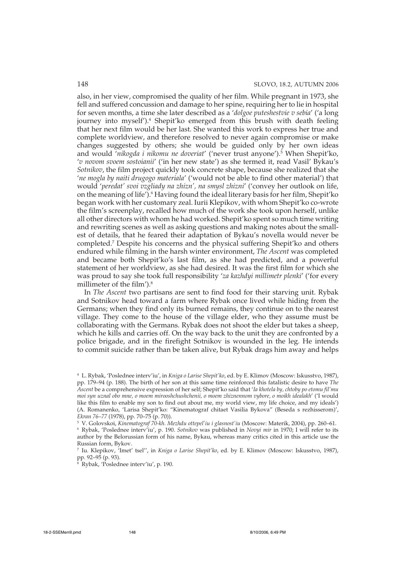also, in her view, compromised the quality of her film. While pregnant in 1973, she fell and suffered concussion and damage to her spine, requiring her to lie in hospital for seven months, a time she later described as a '*dolgoe puteshestvie v sebia*' ('a long journey into myself').<sup>4</sup> Shepit'ko emerged from this brush with death feeling that her next film would be her last. She wanted this work to express her true and complete worldview, and therefore resolved to never again compromise or make changes suggested by others; she would be guided only by her own ideas and would '*nikogda i nikomu ne doveriat*' ('never trust anyone').5 When Shepit'ko, '*v novom svoem sostoianii*' ('in her new state') as she termed it, read Vasil' Bykau's *Sotnikov*, the film project quickly took concrete shape, because she realized that she '*ne mogla by naiti drugogo materiala*' ('would not be able to find other material') that would '*peredat' svoi vzgliady na zhizn', na smysl zhizni*' ('convey her outlook on life, on the meaning of life').<sup>6</sup> Having found the ideal literary basis for her film, Shepit'ko began work with her customary zeal. Iurii Klepikov, with whom Shepit'ko co-wrote the film's screenplay, recalled how much of the work she took upon herself, unlike all other directors with whom he had worked. Shepit'ko spent so much time writing and rewriting scenes as well as asking questions and making notes about the smallest of details, that he feared their adaptation of Bykau's novella would never be completed.7 Despite his concerns and the physical suffering Shepit'ko and others endured while filming in the harsh winter environment, *The Ascent* was completed and became both Shepit'ko's last film, as she had predicted, and a powerful statement of her worldview, as she had desired. It was the first film for which she was proud to say she took full responsibility '*za kazhdyi millimetr plenki*' ('for every millimeter of the film').8

In *The Ascent* two partisans are sent to find food for their starving unit. Rybak and Sotnikov head toward a farm where Rybak once lived while hiding from the Germans; when they find only its burned remains, they continue on to the nearest village. They come to the house of the village elder, who they assume must be collaborating with the Germans. Rybak does not shoot the elder but takes a sheep, which he kills and carries off. On the way back to the unit they are confronted by a police brigade, and in the firefight Sotnikov is wounded in the leg. He intends to commit suicide rather than be taken alive, but Rybak drags him away and helps

<sup>4</sup> L. Rybak, 'Poslednee interv'iu', in *Kniga o Larise Shepit'ko*, ed. by E. Klimov (Moscow: Iskusstvo, 1987), pp. 179–94 (p. 188). The birth of her son at this same time reinforced this fatalistic desire to have *The Ascent* be a comprehensive expression of her self; Shepit'ko said that '*Ia khotela by, chtoby po etomu fil'mu moi syn uznal obo mne, o moem mirooshchushchenii, o moem zhiznennom vybore, o moikh idealakh*' ('I would like this film to enable my son to find out about me, my world view, my life choice, and my ideals') (A. Romanenko, 'Larisa Shepit'ko: "Kinematograf chitaet Vasilia Bykova" (Beseda s rezhisserom)', *Ekran 76–77* (1978), pp. 70–75 (p. 70)).

<sup>5</sup> V. Golovskoi, *Kinematograf 70-kh. Mezhdu ottepel'iu i glasnost'iu* (Moscow: Materik, 2004), pp. 260–61.

<sup>6</sup> Rybak, 'Poslednee interv'iu', p. 190. *Sotnikov* was published in *Novyi mir* in 1970; I will refer to its author by the Belorussian form of his name, Bykau, whereas many critics cited in this article use the Russian form, Bykov.

<sup>7</sup> Iu. Klepikov, 'Imet' tsel'', in *Kniga o Larise Shepit'ko*, ed. by E. Klimov (Moscow: Iskusstvo, 1987), pp. 92–95 (p. 93).

<sup>8</sup> Rybak, 'Poslednee interv'iu', p. 190.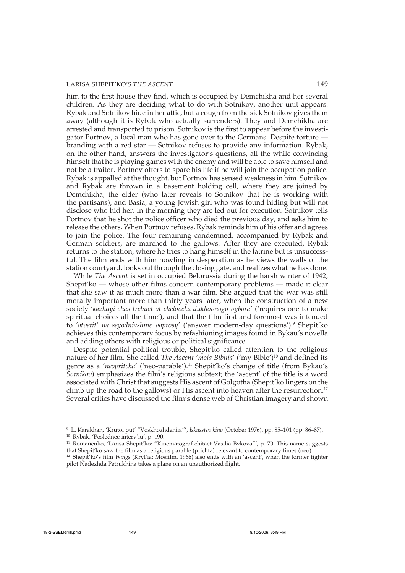him to the first house they find, which is occupied by Demchikha and her several children. As they are deciding what to do with Sotnikov, another unit appears. Rybak and Sotnikov hide in her attic, but a cough from the sick Sotnikov gives them away (although it is Rybak who actually surrenders). They and Demchikha are arrested and transported to prison. Sotnikov is the first to appear before the investigator Portnov, a local man who has gone over to the Germans. Despite torture branding with a red star — Sotnikov refuses to provide any information. Rybak, on the other hand, answers the investigator's questions, all the while convincing himself that he is playing games with the enemy and will be able to save himself and not be a traitor. Portnov offers to spare his life if he will join the occupation police. Rybak is appalled at the thought, but Portnov has sensed weakness in him. Sotnikov and Rybak are thrown in a basement holding cell, where they are joined by Demchikha, the elder (who later reveals to Sotnikov that he is working with the partisans), and Basia, a young Jewish girl who was found hiding but will not disclose who hid her. In the morning they are led out for execution. Sotnikov tells Portnov that he shot the police officer who died the previous day, and asks him to release the others. When Portnov refuses, Rybak reminds him of his offer and agrees to join the police. The four remaining condemned, accompanied by Rybak and German soldiers, are marched to the gallows. After they are executed, Rybak returns to the station, where he tries to hang himself in the latrine but is unsuccessful. The film ends with him howling in desperation as he views the walls of the station courtyard, looks out through the closing gate, and realizes what he has done.

While *The Ascent* is set in occupied Belorussia during the harsh winter of 1942, Shepit'ko — whose other films concern contemporary problems — made it clear that she saw it as much more than a war film. She argued that the war was still morally important more than thirty years later, when the construction of a new society '*kazhdyi chas trebuet ot cheloveka dukhovnogo vybora*' ('requires one to make spiritual choices all the time'), and that the film first and foremost was intended to '*otvetit' na segodniashnie voprosy*' ('answer modern-day questions').9 Shepit'ko achieves this contemporary focus by refashioning images found in Bykau's novella and adding others with religious or political significance.

Despite potential political trouble, Shepit'ko called attention to the religious nature of her film. She called *The Ascent* '*moia Bibliia*' ('my Bible')10 and defined its genre as a '*neopritcha*' ('neo-parable').11 Shepit'ko's change of title (from Bykau's *Sotnikov*) emphasizes the film's religious subtext; the 'ascent' of the title is a word associated with Christ that suggests His ascent of Golgotha (Shepit'ko lingers on the climb up the road to the gallows) or His ascent into heaven after the resurrection.<sup>12</sup> Several critics have discussed the film's dense web of Christian imagery and shown

<sup>9</sup> L. Karakhan, 'Krutoi put' "Voskhozhdeniia"', *Iskusstvo kino* (October 1976), pp. 85–101 (pp. 86–87).

<sup>10</sup> Rybak, 'Poslednee interv'iu', p. 190.

<sup>&</sup>lt;sup>11</sup> Romanenko, 'Larisa Shepit'ko: "Kinematograf chitaet Vasilia Bykova"', p. 70. This name suggests that Shepit'ko saw the film as a religious parable (prichta) relevant to contemporary times (neo).

<sup>&</sup>lt;sup>12</sup> Shepit'ko's film *Wings* (Kryl'ia; Mosfilm, 1966) also ends with an 'ascent', when the former fighter pilot Nadezhda Petrukhina takes a plane on an unauthorized flight.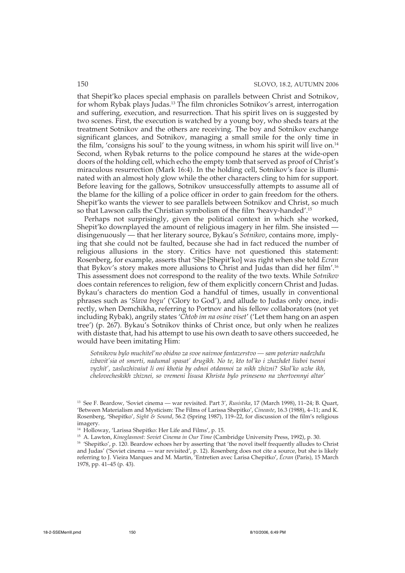that Shepit'ko places special emphasis on parallels between Christ and Sotnikov, for whom Rybak plays Judas.13 The film chronicles Sotnikov's arrest, interrogation and suffering, execution, and resurrection. That his spirit lives on is suggested by two scenes. First, the execution is watched by a young boy, who sheds tears at the treatment Sotnikov and the others are receiving. The boy and Sotnikov exchange significant glances, and Sotnikov, managing a small smile for the only time in the film, 'consigns his soul' to the young witness, in whom his spirit will live on.14 Second, when Rybak returns to the police compound he stares at the wide-open doors of the holding cell, which echo the empty tomb that served as proof of Christ's miraculous resurrection (Mark 16:4). In the holding cell, Sotnikov's face is illuminated with an almost holy glow while the other characters cling to him for support. Before leaving for the gallows, Sotnikov unsuccessfully attempts to assume all of the blame for the killing of a police officer in order to gain freedom for the others. Shepit'ko wants the viewer to see parallels between Sotnikov and Christ, so much so that Lawson calls the Christian symbolism of the film 'heavy-handed'.15

Perhaps not surprisingly, given the political context in which she worked, Shepit'ko downplayed the amount of religious imagery in her film. She insisted disingenuously — that her literary source, Bykau's *Sotnikov*, contains more, implying that she could not be faulted, because she had in fact reduced the number of religious allusions in the story. Critics have not questioned this statement: Rosenberg, for example, asserts that 'She [Shepit'ko] was right when she told *Ecran* that Bykov's story makes more allusions to Christ and Judas than did her film'.16 This assessment does not correspond to the reality of the two texts. While *Sotnikov* does contain references to religion, few of them explicitly concern Christ and Judas. Bykau's characters do mention God a handful of times, usually in conventional phrases such as '*Slava bogu*' ('Glory to God'), and allude to Judas only once, indirectly, when Demchikha, referring to Portnov and his fellow collaborators (not yet including Rybak), angrily states '*Chtob im na osine viset*' ('Let them hang on an aspen tree') (p. 267). Bykau's Sotnikov thinks of Christ once, but only when he realizes with distaste that, had his attempt to use his own death to save others succeeded, he would have been imitating Him:

*Sotnikovu bylo muchitel'no obidno za svoe naivnoe fantazerstvo — sam poteriav nadezhdu izbavit'sia ot smerti, nadumal spasat' drugikh. No te, kto tol'ko i zhazhdet liuboi tsenoi vyzhit', zasluzhivaiut li oni khotia by odnoi otdannoi za nikh zhizni? Skol'ko uzhe ikh, chelovecheskikh zhiznei, so vremeni Iisusa Khrista bylo prineseno na zhertvennyi altar'*

<sup>13</sup> See F. Beardow, 'Soviet cinema — war revisited. Part 3', *Rusistika*, 17 (March 1998), 11–24; B. Quart, 'Between Materialism and Mysticism: The Films of Larissa Shepitko', *Cineaste*, 16.3 (1988), 4–11; and K. Rosenberg, 'Shepitko', *Sight & Sound*, 56.2 (Spring 1987), 119–22, for discussion of the film's religious imagery.

<sup>14</sup> Holloway, 'Larissa Shepitko: Her Life and Films', p. 15.

<sup>15</sup> A. Lawton, *Kinoglasnost: Soviet Cinema in Our Time* (Cambridge University Press, 1992), p. 30.

<sup>&</sup>lt;sup>16</sup> 'Shepitko', p. 120. Beardow echoes her by asserting that 'the novel itself frequently alludes to Christ and Judas' ('Soviet cinema — war revisited', p. 12). Rosenberg does not cite a source, but she is likely referring to J. Vieira Marques and M. Martin, 'Entretien avec Larisa Chepitko', *Écran* (Paris), 15 March 1978, pp. 41–45 (p. 43).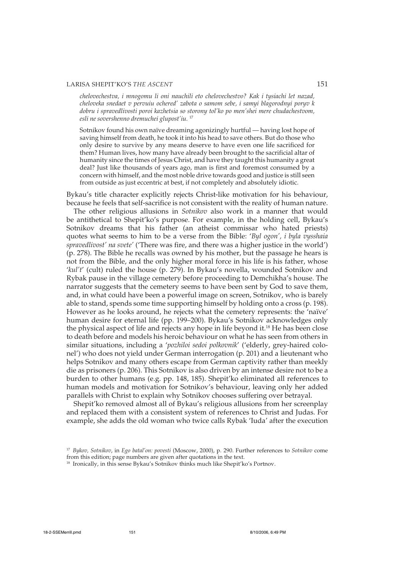*chelovechestva, i mnogomu li oni nauchili eto chelovechestvo? Kak i tysiachi let nazad, cheloveka snedaet v pervuiu ochered' zabota o samom sebe, i samyi blagorodnyi poryv k dobru i spravedlivosti poroi kazhetsia so storony tol'ko po men'shei mere chudachestvom, esli ne sovershenno dremuchei glupost'iu.* <sup>17</sup>

Sotnikov found his own naïve dreaming agonizingly hurtful — having lost hope of saving himself from death, he took it into his head to save others. But do those who only desire to survive by any means deserve to have even one life sacrificed for them? Human lives, how many have already been brought to the sacrificial altar of humanity since the times of Jesus Christ, and have they taught this humanity a great deal? Just like thousands of years ago, man is first and foremost consumed by a concern with himself, and the most noble drive towards good and justice is still seen from outside as just eccentric at best, if not completely and absolutely idiotic.

Bykau's title character explicitly rejects Christ-like motivation for his behaviour, because he feels that self-sacrifice is not consistent with the reality of human nature.

The other religious allusions in *Sotnikov* also work in a manner that would be antithetical to Shepit'ko's purpose. For example, in the holding cell, Bykau's Sotnikov dreams that his father (an atheist commissar who hated priests) quotes what seems to him to be a verse from the Bible: '*Byl ogon', i byla vysshaia spravedlivost' na svete'* ('There was fire, and there was a higher justice in the world') (p. 278). The Bible he recalls was owned by his mother, but the passage he hears is not from the Bible, and the only higher moral force in his life is his father, whose '*kul't*' (cult) ruled the house (p. 279). In Bykau's novella, wounded Sotnikov and Rybak pause in the village cemetery before proceeding to Demchikha's house. The narrator suggests that the cemetery seems to have been sent by God to save them, and, in what could have been a powerful image on screen, Sotnikov, who is barely able to stand, spends some time supporting himself by holding onto a cross (p. 198). However as he looks around, he rejects what the cemetery represents: the 'naïve' human desire for eternal life (pp. 199–200). Bykau's Sotnikov acknowledges only the physical aspect of life and rejects any hope in life beyond it.18 He has been close to death before and models his heroic behaviour on what he has seen from others in similar situations, including a '*pozhiloi sedoi polkovnik*' ('elderly, grey-haired colonel') who does not yield under German interrogation (p. 201) and a lieutenant who helps Sotnikov and many others escape from German captivity rather than meekly die as prisoners (p. 206). This Sotnikov is also driven by an intense desire not to be a burden to other humans (e.g. pp. 148, 185). Shepit'ko eliminated all references to human models and motivation for Sotnikov's behaviour, leaving only her added parallels with Christ to explain why Sotnikov chooses suffering over betrayal.

Shepit'ko removed almost all of Bykau's religious allusions from her screenplay and replaced them with a consistent system of references to Christ and Judas. For example, she adds the old woman who twice calls Rybak 'Iuda' after the execution

<sup>17</sup> *Bykov, Sotnikov*, in *Ego batal'on: povesti* (Moscow, 2000), p. 290. Further references to *Sotnikov* come from this edition; page numbers are given after quotations in the text.

<sup>&</sup>lt;sup>18</sup> Ironically, in this sense Bykau's Sotnikov thinks much like Shepit'ko's Portnov.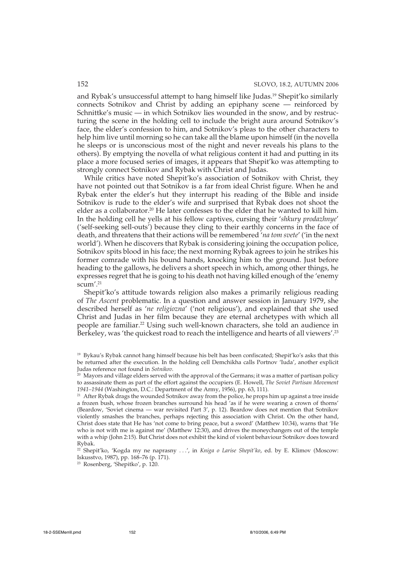and Rybak's unsuccessful attempt to hang himself like Judas.<sup>19</sup> Shepit'ko similarly connects Sotnikov and Christ by adding an epiphany scene — reinforced by Schnittke's music — in which Sotnikov lies wounded in the snow, and by restructuring the scene in the holding cell to include the bright aura around Sotnikov's face, the elder's confession to him, and Sotnikov's pleas to the other characters to help him live until morning so he can take all the blame upon himself (in the novella he sleeps or is unconscious most of the night and never reveals his plans to the others). By emptying the novella of what religious content it had and putting in its place a more focused series of images, it appears that Shepit'ko was attempting to strongly connect Sotnikov and Rybak with Christ and Judas.

While critics have noted Shepit'ko's association of Sotnikov with Christ, they have not pointed out that Sotnikov is a far from ideal Christ figure. When he and Rybak enter the elder's hut they interrupt his reading of the Bible and inside Sotnikov is rude to the elder's wife and surprised that Rybak does not shoot the elder as a collaborator.<sup>20</sup> He later confesses to the elder that he wanted to kill him. In the holding cell he yells at his fellow captives, cursing their '*shkury prodazhnye*' ('self-seeking sell-outs') because they cling to their earthly concerns in the face of death, and threatens that their actions will be remembered '*na tom svete*' ('in the next world'). When he discovers that Rybak is considering joining the occupation police, Sotnikov spits blood in his face; the next morning Rybak agrees to join he strikes his former comrade with his bound hands, knocking him to the ground. Just before heading to the gallows, he delivers a short speech in which, among other things, he expresses regret that he is going to his death not having killed enough of the 'enemy scum'.<sup>21</sup>

Shepit'ko's attitude towards religion also makes a primarily religious reading of *The Ascent* problematic. In a question and answer session in January 1979, she described herself as '*ne religiozna*' ('not religious'), and explained that she used Christ and Judas in her film because they are eternal archetypes with which all people are familiar.22 Using such well-known characters, she told an audience in Berkeley, was 'the quickest road to reach the intelligence and hearts of all viewers'.23

<sup>19</sup> Bykau's Rybak cannot hang himself because his belt has been confiscated; Shepit'ko's asks that this be returned after the execution. In the holding cell Demchikha calls Portnov 'Iuda', another explicit Judas reference not found in *Sotnikov*.

 $20$  Mayors and village elders served with the approval of the Germans; it was a matter of partisan policy to assassinate them as part of the effort against the occupiers (E. Howell, *The Soviet Partisan Movement 1941–1944* (Washington, D.C.: Department of the Army, 1956), pp. 63, 111).

<sup>&</sup>lt;sup>21</sup> After Rybak drags the wounded Sotnikov away from the police, he props him up against a tree inside a frozen bush, whose frozen branches surround his head 'as if he were wearing a crown of thorns' (Beardow, 'Soviet cinema — war revisited Part 3', p. 12). Beardow does not mention that Sotnikov violently smashes the branches, perhaps rejecting this association with Christ. On the other hand, Christ does state that He has 'not come to bring peace, but a sword' (Matthew 10:34), warns that 'He who is not with me is against me' (Matthew 12:30), and drives the moneychangers out of the temple with a whip (John 2:15). But Christ does not exhibit the kind of violent behaviour Sotnikov does toward Rybak.

<sup>22</sup> Shepit'ko, 'Kogda my ne naprasny . . .', in *Kniga o Larise Shepit'ko*, ed. by E. Klimov (Moscow: Iskusstvo, 1987), pp. 168–76 (p. 171).

<sup>23</sup> Rosenberg, 'Shepitko', p. 120.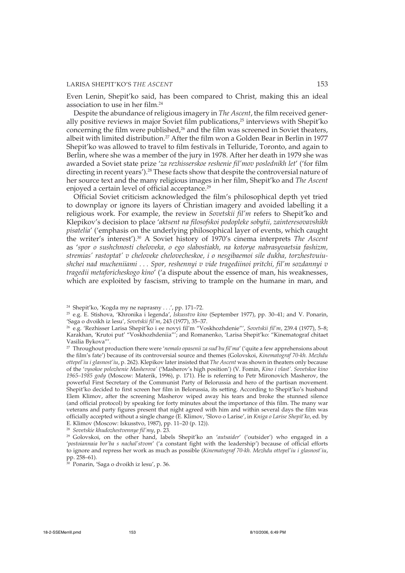Even Lenin, Shepit'ko said, has been compared to Christ, making this an ideal association to use in her film.24

Despite the abundance of religious imagery in *The Ascent*, the film received generally positive reviews in major Soviet film publications,25 interviews with Shepit'ko concerning the film were published,<sup>26</sup> and the film was screened in Soviet theaters, albeit with limited distribution.<sup>27</sup> After the film won a Golden Bear in Berlin in 1977 Shepit'ko was allowed to travel to film festivals in Telluride, Toronto, and again to Berlin, where she was a member of the jury in 1978. After her death in 1979 she was awarded a Soviet state prize '*za rezhisserskoe reshenie fil'mov poslednikh let*' ('for film directing in recent years').28 These facts show that despite the controversial nature of her source text and the many religious images in her film, Shepit'ko and *The Ascent* enjoyed a certain level of official acceptance.<sup>29</sup>

Official Soviet criticism acknowledged the film's philosophical depth yet tried to downplay or ignore its layers of Christian imagery and avoided labelling it a religious work. For example, the review in *Sovetskii fil'm* refers to Shepit'ko and Klepikov's decision to place '*aktsent na filosofskoi podopleke sobytii, zainteresovavshikh pisatelia*' ('emphasis on the underlying philosophical layer of events, which caught the writer's interest').30 A Soviet history of 1970's cinema interprets *The Ascent* as '*spor o sushchnosti cheloveka, o ego slabostiakh, na kotorye nabrasyvaetsia fashizm, stremias' rastoptat' v cheloveke chelovecheskoe, i o nesgibaemoi sile dukha, torzhestvuiushchei nad mucheniiami . . . Spor, reshennyi v vide tragediinoi pritchi, fil'm sozdannyi v tragedii metaforicheskogo kino*' ('a dispute about the essence of man, his weaknesses, which are exploited by fascism, striving to trample on the humane in man, and

<sup>24</sup> Shepit'ko, 'Kogda my ne naprasny . . .', pp. 171–72.

<sup>25</sup> e.g. E. Stishova, 'Khronika i legenda', *Iskusstvo kino* (September 1977), pp. 30–41; and V. Ponarin, 'Saga o dvoikh iz lesu', *Sovetskii fil'm*, 243 (1977), 35–37.

<sup>26</sup> e.g. 'Rezhisser Larisa Shepit'ko i ee novyi fil'm "Voskhozhdenie"', *Sovetskii fil'm*, 239.4 (1977), 5–8; Karakhan, 'Krutoi put' "Voskhozhdeniia"'; and Romanenko, 'Larisa Shepit'ko: "Kinematograf chitaet Vasilia Bykova"'.

<sup>27</sup> Throughout production there were '*nemalo opasenii za sud'bu fil'ma*' ('quite a few apprehensions about the film's fate') because of its controversial source and themes (Golovskoi, *Kinematograf 70-kh. Mezhdu ottepel'iu i glasnost'iu*, p. 262). Klepikov later insisted that *The Ascent* was shown in theaters only because of the '*vysokoe polozhenie Masherova'* ('Masherov's high position') (V. Fomin, *Kino i vlast'. Sovetskoe kino 1965–1985 gody* (Moscow: Materik, 1996), p. 171). He is referring to Petr Mironovich Masherov, the powerful First Secretary of the Communist Party of Belorussia and hero of the partisan movement. Shepit'ko decided to first screen her film in Belorussia, its setting. According to Shepit'ko's husband Elem Klimov, after the screening Masherov wiped away his tears and broke the stunned silence (and official protocol) by speaking for forty minutes about the importance of this film. The many war veterans and party figures present that night agreed with him and within several days the film was officially accepted without a single change (E. Klimov, 'Slovo o Larise', in *Kniga o Larise Shepit'ko*, ed. by E. Klimov (Moscow: Iskusstvo, 1987), pp. 11–20 (p. 12)).

<sup>28</sup> *Sovetskie khudozhestvennye fil'my*, p. 23.

<sup>29</sup> Golovskoi, on the other hand, labels Shepit'ko an '*autsaider*' ('outsider') who engaged in a '*postoiannaia bor'ba s nachal'stvom*' ('a constant fight with the leadership') because of official efforts to ignore and repress her work as much as possible (*Kinematograf 70-kh. Mezhdu ottepel'iu i glasnost'iu*, pp. 258–61).

 $30$  Ponarin, 'Saga o dvoikh iz lesu', p. 36.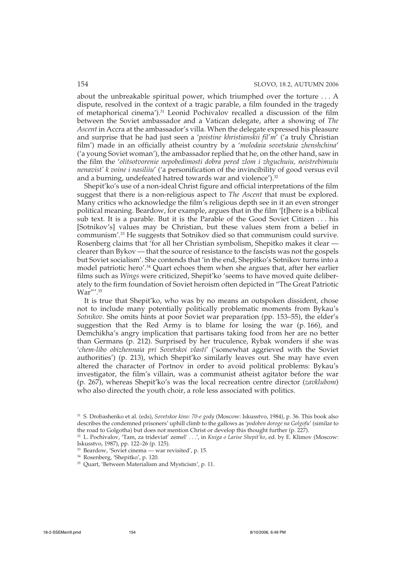about the unbreakable spiritual power, which triumphed over the torture . . . A dispute, resolved in the context of a tragic parable, a film founded in the tragedy of metaphorical cinema').31 Leonid Pochivalov recalled a discussion of the film between the Soviet ambassador and a Vatican delegate, after a showing of *The Ascent* in Accra at the ambassador's villa. When the delegate expressed his pleasure and surprise that he had just seen a '*poistine khristianskii fil'm*' ('a truly Christian film') made in an officially atheist country by a '*molodaia sovetskaia zhenshchina*' ('a young Soviet woman'), the ambassador replied that he, on the other hand, saw in the film the '*olitsotvorenie nepobedimosti dobra pered zlom i zhguchuiu, neistrebimuiu nenavist' k voine i nasiliiu*' ('a personification of the invincibility of good versus evil and a burning, undefeated hatred towards war and violence').<sup>32</sup>

Shepit'ko's use of a non-ideal Christ figure and official interpretations of the film suggest that there is a non-religious aspect to *The Ascent* that must be explored. Many critics who acknowledge the film's religious depth see in it an even stronger political meaning. Beardow, for example, argues that in the film '[t]here is a biblical sub text. It is a parable. But it is the Parable of the Good Soviet Citizen . . . his [Sotnikov's] values may be Christian, but these values stem from a belief in communism'.33 He suggests that Sotnikov died so that communism could survive. Rosenberg claims that 'for all her Christian symbolism, Shepitko makes it clear clearer than Bykov — that the source of resistance to the fascists was not the gospels but Soviet socialism'. She contends that 'in the end, Shepitko's Sotnikov turns into a model patriotic hero'.34 Quart echoes them when she argues that, after her earlier films such as *Wings* were criticized, Shepit'ko 'seems to have moved quite deliberately to the firm foundation of Soviet heroism often depicted in "The Great Patriotic War"'.<sup>35</sup>

It is true that Shepit'ko, who was by no means an outspoken dissident, chose not to include many potentially politically problematic moments from Bykau's *Sotnikov*. She omits hints at poor Soviet war preparation (pp. 153–55), the elder's suggestion that the Red Army is to blame for losing the war (p. 166), and Demchikha's angry implication that partisans taking food from her are no better than Germans (p. 212). Surprised by her truculence, Rybak wonders if she was '*chem-libo obizhennaia pri Sovetskoi vlasti*' ('somewhat aggrieved with the Soviet authorities') (p. 213), which Shepit'ko similarly leaves out. She may have even altered the character of Portnov in order to avoid political problems: Bykau's investigator, the film's villain, was a communist atheist agitator before the war (p. 267), whereas Shepit'ko's was the local recreation centre director (*zavklubom*) who also directed the youth choir, a role less associated with politics.

<sup>31</sup> S. Drobashenko et al. (eds), *Sovetskoe kino: 70-e gody* (Moscow: Iskusstvo, 1984), p. 36. This book also describes the condemned prisoners' uphill climb to the gallows as '*podoben doroge na Golgofu*' (similar to the road to Golgotha) but does not mention Christ or develop this thought further (p. 227).

<sup>32</sup> L. Pochivalov, 'Tam, za trideviat' zemel' . . .', in *Kniga o Larise Shepit'ko*, ed. by E. Klimov (Moscow: Iskusstvo, 1987), pp. 122–26 (p. 125).

<sup>33</sup> Beardow, 'Soviet cinema — war revisited', p. 15.

<sup>34</sup> Rosenberg, 'Shepitko', p. 120.

<sup>35</sup> Quart, 'Between Materialism and Mysticism', p. 11.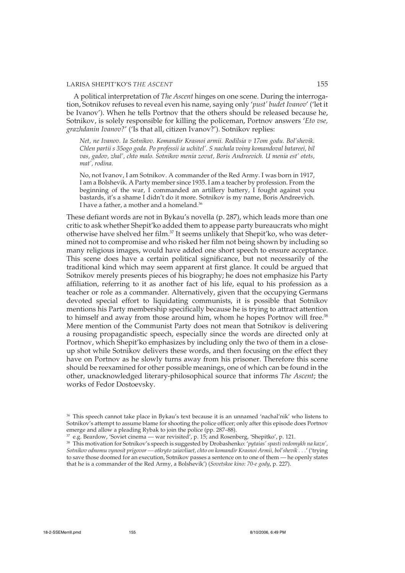A political interpretation of *The Ascent* hinges on one scene. During the interrogation, Sotnikov refuses to reveal even his name, saying only '*pust' budet Ivanov*' ('let it be Ivanov'). When he tells Portnov that the others should be released because he, Sotnikov, is solely responsible for killing the policeman, Portnov answers '*Eto vse, grazhdanin Ivanov?*' ('Is that all, citizen Ivanov?'). Sotnikov replies:

*Net, ne Ivanov. Ia Sotnikov. Komandir Krasnoi armii. Rodilsia v 17om godu. Bol'shevik. Chlen partii s 35ogo goda. Po professii ia uchitel'. S nachala voiny komandoval batareei, bil vas, gadov, zhal', chto malo. Sotnikov menia zovut, Boris Andreevich. U menia est' otets, mat', rodina.*

No, not Ivanov, I am Sotnikov. A commander of the Red Army. I was born in 1917, I am a Bolshevik. A Party member since 1935. I am a teacher by profession. From the beginning of the war, I commanded an artillery battery, I fought against you bastards, it's a shame I didn't do it more. Sotnikov is my name, Boris Andreevich. I have a father, a mother and a homeland.<sup>36</sup>

These defiant words are not in Bykau's novella (p. 287), which leads more than one critic to ask whether Shepit'ko added them to appease party bureaucrats who might otherwise have shelved her film.<sup>37</sup> It seems unlikely that Shepit'ko, who was determined not to compromise and who risked her film not being shown by including so many religious images, would have added one short speech to ensure acceptance. This scene does have a certain political significance, but not necessarily of the traditional kind which may seem apparent at first glance. It could be argued that Sotnikov merely presents pieces of his biography; he does not emphasize his Party affiliation, referring to it as another fact of his life, equal to his profession as a teacher or role as a commander. Alternatively, given that the occupying Germans devoted special effort to liquidating communists, it is possible that Sotnikov mentions his Party membership specifically because he is trying to attract attention to himself and away from those around him, whom he hopes Portnov will free.<sup>38</sup> Mere mention of the Communist Party does not mean that Sotnikov is delivering a rousing propagandistic speech, especially since the words are directed only at Portnov, which Shepit'ko emphasizes by including only the two of them in a closeup shot while Sotnikov delivers these words, and then focusing on the effect they have on Portnov as he slowly turns away from his prisoner. Therefore this scene should be reexamined for other possible meanings, one of which can be found in the other, unacknowledged literary-philosophical source that informs *The Ascent*; the works of Fedor Dostoevsky.

<sup>&</sup>lt;sup>36</sup> This speech cannot take place in Bykau's text because it is an unnamed 'nachal'nik' who listens to Sotnikov's attempt to assume blame for shooting the police officer; only after this episode does Portnov emerge and allow a pleading Rybak to join the police (pp. 287–88).

e.g. Beardow, 'Soviet cinema — war revisited', p. 15; and Rosenberg, 'Shepitko', p. 121.

<sup>38</sup> This motivation for Sotnikov's speech is suggested by Drobashenko: '*pytaias' spasti vedomykh na kazn', Sotnikov odnomu vynosit prigovor — otkryto zaiavliaet, chto on komandir Krasnoi Armii, bol'shevik . . .*' ('trying to save those doomed for an execution, Sotnikov passes a sentence on to one of them — he openly states that he is a commander of the Red Army, a Bolshevik') (*Sovetskoe kino: 70-e gody*, p. 227).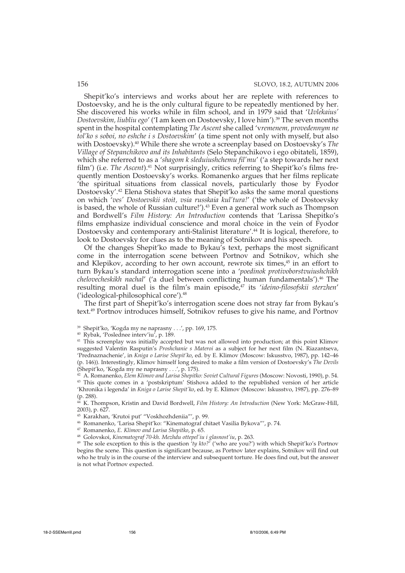Shepit'ko's interviews and works about her are replete with references to Dostoevsky, and he is the only cultural figure to be repeatedly mentioned by her. She discovered his works while in film school, and in 1979 said that '*Uvlekaius' Dostoevskim, liubliu ego*' ('I am keen on Dostoevsky, I love him').39 The seven months spent in the hospital contemplating *The Ascent* she called 'v*remenem, provedennym ne tol'ko s soboi, no eshche i s Dostoevskim*' (a time spent not only with myself, but also with Dostoevsky).40 While there she wrote a screenplay based on Dostoevsky's *The Village of Stepanchikovo and its Inhabitants* (Selo Stepanchikovo i ego obitateli, 1859), which she referred to as a '*shagom k sleduiushchemu fil'mu*' ('a step towards her next film') (i.e. *The Ascent*).<sup>41</sup> Not surprisingly, critics referring to Shepit'ko's films frequently mention Dostoevsky's works. Romanenko argues that her films replicate 'the spiritual situations from classical novels, particularly those by Fyodor Dostoevsky'.42 Elena Stishova states that Shepit'ko asks the same moral questions on which '*ves' Dostoevskii stoit, vsia russkaia kul'tura!*' ('the whole of Dostoevsky is based, the whole of Russian culture!').<sup>43</sup> Even a general work such as Thompson and Bordwell's *Film History: An Introduction* contends that 'Larissa Shepitko's films emphasize individual conscience and moral choice in the vein of Fyodor Dostoevsky and contemporary anti-Stalinist literature'.<sup>44</sup> It is logical, therefore, to look to Dostoevsky for clues as to the meaning of Sotnikov and his speech.

Of the changes Shepit'ko made to Bykau's text, perhaps the most significant come in the interrogation scene between Portnov and Sotnikov, which she and Klepikov, according to her own account, rewrote six times,<sup>45</sup> in an effort to turn Bykau's standard interrogation scene into a '*poedinok protivoborstvuiushchikh chelovecheskikh nachal'* ('a duel between conflicting human fundamentals').<sup>46</sup> The resulting moral duel is the film's main episode,<sup>47</sup> its 'ideino-filosofskii sterzhen' ('ideological-philosophical core').48

The first part of Shepit'ko's interrogation scene does not stray far from Bykau's text.49 Portnov introduces himself, Sotnikov refuses to give his name, and Portnov

<sup>44</sup> K. Thompson, Kristin and David Bordwell, *Film History: An Introduction* (New York: McGraw-Hill, 2003), p. 627.

- <sup>46</sup> Romanenko, 'Larisa Shepit'ko: "Kinematograf chitaet Vasilia Bykova"', p. 74.
- <sup>47</sup> Romanenko, *E. Klimov and Larisa Shepitko*, p. 65.
- <sup>48</sup> Golovskoi, *Kinematograf 70-kh. Mezhdu ottepel'iu i glasnost'iu*, p. 263.

<sup>49</sup> The sole exception to this is the question '*ty kto?*' ('who are you?') with which Shepit'ko's Portnov begins the scene. This question is significant because, as Portnov later explains, Sotnikov will find out who he truly is in the course of the interview and subsequent torture. He does find out, but the answer is not what Portnov expected.

<sup>39</sup> Shepit'ko, 'Kogda my ne naprasny . . .', pp. 169, 175.

<sup>40</sup> Rybak, 'Poslednee interv'iu', p. 189.

<sup>&</sup>lt;sup>41</sup> This screenplay was initially accepted but was not allowed into production; at this point Klimov suggested Valentin Rasputin's *Proshchanie s Materoi* as a subject for her next film (N. Riazantseva, 'Prednaznachenie', in *Kniga o Larise Shepit'ko*, ed. by E. Klimov (Moscow: Iskusstvo, 1987), pp. 142–46 (p. 146)). Interestingly, Klimov himself long desired to make a film version of Dostoevsky's *The Devils* (Shepit'ko, 'Kogda my ne naprasny . . .', p. 175).

<sup>42</sup> A. Romanenko, *Elem Klimov and Larisa Shepitko: Soviet Cultural Figures* (Moscow: Novosti, 1990), p. 54. <sup>43</sup> This quote comes in a 'postskriptum' Stishova added to the republished version of her article 'Khronika i legenda' in *Kniga o Larise Shepit'ko*, ed. by E. Klimov (Moscow: Iskusstvo, 1987), pp. 276–89 (p. 288).

<sup>45</sup> Karakhan, 'Krutoi put' "Voskhozhdeniia"', p. 99.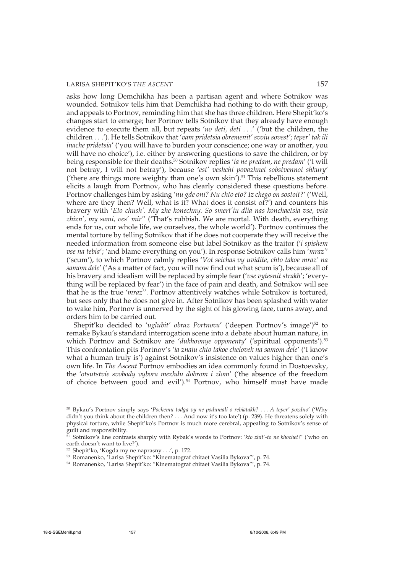asks how long Demchikha has been a partisan agent and where Sotnikov was wounded. Sotnikov tells him that Demchikha had nothing to do with their group, and appeals to Portnov, reminding him that she has three children. Here Shepit'ko's changes start to emerge; her Portnov tells Sotnikov that they already have enough evidence to execute them all, but repeats '*no deti, deti . . .*' ('but the children, the children . . .'). He tells Sotnikov that '*vam pridetsia obremenit' svoiu sovest'; teper' tak ili inache pridetsia*' ('you will have to burden your conscience; one way or another, you will have no choice'), i.e. either by answering questions to save the children, or by being responsible for their deaths.<sup>50</sup> Sotnikov replies 'ia ne predam, ne predam' ('I will not betray, I will not betray'), because '*est' veshchi povazhnei sobstvennoi shkury*' ('there are things more weighty than one's own skin').<sup>51</sup> This rebellious statement elicits a laugh from Portnov, who has clearly considered these questions before. Portnov challenges him by asking '*nu gde oni? Nu chto eto? Iz chego on sostoit?*' ('Well, where are they then? Well, what is it? What does it consist of?') and counters his bravery with '*Eto chush'. My zhe konechny. So smert'iu dlia nas konchaetsia vse, vsia zhizn', my sami, ves' mir'*' ('That's rubbish. We are mortal. With death, everything ends for us, our whole life, we ourselves, the whole world'). Portnov continues the mental torture by telling Sotnikov that if he does not cooperate they will receive the needed information from someone else but label Sotnikov as the traitor ('*i spishem vse na tebia*'; 'and blame everything on you'). In response Sotnikov calls him '*mraz'*' ('scum'), to which Portnov calmly replies '*Vot seichas vy uvidite, chto takoe mraz' na samom dele*' ('As a matter of fact, you will now find out what scum is'), because all of his bravery and idealism will be replaced by simple fear ('*vse vytesnit strakh*'; 'everything will be replaced by fear') in the face of pain and death, and Sotnikov will see that he is the true '*mraz*''. Portnov attentively watches while Sotnikov is tortured, but sees only that he does not give in. After Sotnikov has been splashed with water to wake him, Portnov is unnerved by the sight of his glowing face, turns away, and orders him to be carried out.

Shepit'ko decided to 'uglubit' obraz Portnova' ('deepen Portnov's image')<sup>52</sup> to remake Bykau's standard interrogation scene into a debate about human nature, in which Portnov and Sotnikov are '*dukhovnye opponenty*' ('spiritual opponents').53 This confrontation pits Portnov's '*ia znaiu chto takoe chelovek na samom dele*' ('I know what a human truly is') against Sotnikov's insistence on values higher than one's own life. In *The Ascent* Portnov embodies an idea commonly found in Dostoevsky, the '*otsutstvie svobody vybora mezhdu dobrom i zlom*' ('the absence of the freedom of choice between good and evil').<sup>54</sup> Portnov, who himself must have made

<sup>50</sup> Bykau's Portnov simply says '*Pochemu todga vy ne podumali o rebiatakh? . . . A teper' pozdno*' ('Why didn't you think about the children then? . . . And now it's too late') (p. 239). He threatens solely with physical torture, while Shepit'ko's Portnov is much more cerebral, appealing to Sotnikov's sense of guilt and responsibility.

<sup>51</sup> Sotnikov's line contrasts sharply with Rybak's words to Portnov: '*kto zhit'-to ne khochet?*' ('who on earth doesn't want to live?').

<sup>52</sup> Shepit'ko, 'Kogda my ne naprasny . . .', p. 172.

<sup>53</sup> Romanenko, 'Larisa Shepit'ko: "Kinematograf chitaet Vasilia Bykova"', p. 74.

<sup>54</sup> Romanenko, 'Larisa Shepit'ko: "Kinematograf chitaet Vasilia Bykova"', p. 74.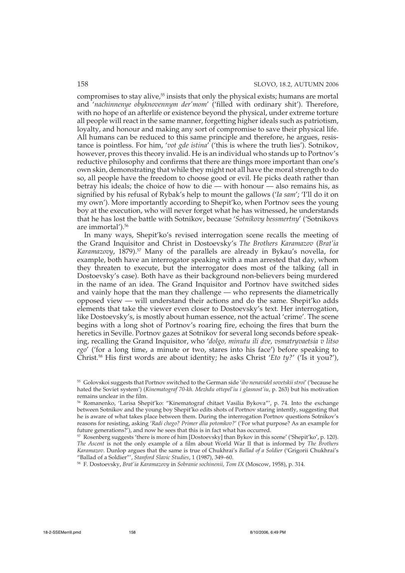compromises to stay alive,<sup>55</sup> insists that only the physical exists; humans are mortal and '*nachinnenye obyknovennym der'mom*' ('filled with ordinary shit'). Therefore, with no hope of an afterlife or existence beyond the physical, under extreme torture all people will react in the same manner, forgetting higher ideals such as patriotism, loyalty, and honour and making any sort of compromise to save their physical life. All humans can be reduced to this same principle and therefore, he argues, resistance is pointless. For him, '*vot gde istina*' ('this is where the truth lies'). Sotnikov, however, proves this theory invalid. He is an individual who stands up to Portnov's reductive philosophy and confirms that there are things more important than one's own skin, demonstrating that while they might not all have the moral strength to do so, all people have the freedom to choose good or evil. He picks death rather than betray his ideals; the choice of how to die — with honour — also remains his, as signified by his refusal of Rybak's help to mount the gallows ('*Ia sam*'; 'I'll do it on my own'). More importantly according to Shepit'ko, when Portnov sees the young boy at the execution, who will never forget what he has witnessed, he understands that he has lost the battle with Sotnikov, because '*Sotnikovy bessmertny*' ('Sotnikovs are immortal').56

In many ways, Shepit'ko's revised interrogation scene recalls the meeting of the Grand Inquisitor and Christ in Dostoevsky's *The Brothers Karamazov* (*Brat'ia Karamazovy*, 1879).57 Many of the parallels are already in Bykau's novella, for example, both have an interrogator speaking with a man arrested that day, whom they threaten to execute, but the interrogator does most of the talking (all in Dostoevsky's case). Both have as their background non-believers being murdered in the name of an idea. The Grand Inquisitor and Portnov have switched sides and vainly hope that the man they challenge — who represents the diametrically opposed view — will understand their actions and do the same. Shepit'ko adds elements that take the viewer even closer to Dostoevsky's text. Her interrogation, like Dostoevsky's, is mostly about human essence, not the actual 'crime'. The scene begins with a long shot of Portnov's roaring fire, echoing the fires that burn the heretics in Seville. Portnov gazes at Sotnikov for several long seconds before speaking, recalling the Grand Inquisitor, who '*dolgo, minutu ili dve, vsmatryvaetsia v litso ego*' ('for a long time, a minute or two, stares into his face') before speaking to Christ.58 His first words are about identity; he asks Christ '*Eto ty?*' ('Is it you?'),

<sup>58</sup> F. Dostoevsky, *Brat'ia Karamazovy* in *Sobranie sochinenii, Tom IX* (Moscow, 1958), p. 314.

<sup>55</sup> Golovskoi suggests that Portnov switched to the German side '*ibo nenavidel sovetskii stroi*' ('because he hated the Soviet system') (*Kinematograf 70-kh. Mezhdu ottepel'iu i glasnost'iu*, p. 263) but his motivation remains unclear in the film.

<sup>56</sup> Romanenko, 'Larisa Shepit'ko: "Kinematograf chitaet Vasilia Bykova"', p. 74. Into the exchange between Sotnikov and the young boy Shepit'ko edits shots of Portnov staring intently, suggesting that he is aware of what takes place between them. During the interrogation Portnov questions Sotnikov's reasons for resisting, asking '*Radi chego? Primer dlia potomkov?*' ('For what purpose? As an example for future generations?'), and now he sees that this is in fact what has occurred.

<sup>57</sup> Rosenberg suggests 'there is more of him [Dostoevsky] than Bykov in this scene' ('Shepit'ko', p. 120). *The Ascent* is not the only example of a film about World War II that is informed by *The Brothers Karamazov*. Dunlop argues that the same is true of Chukhrai's *Ballad of a Soldier* ('Grigorii Chukhrai's "Ballad of a Soldier"', *Stanford Slavic Studies*, 1 (1987), 349–60.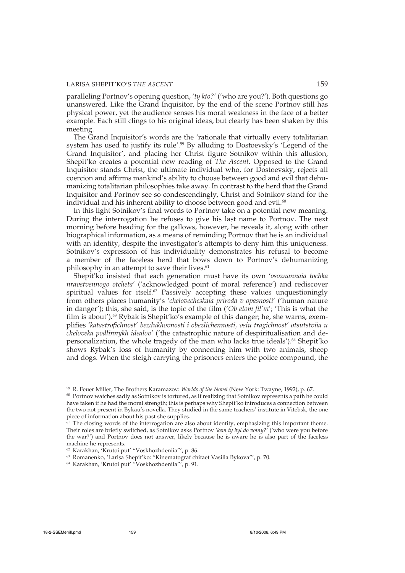paralleling Portnov's opening question, '*ty kto?*' ('who are you?'). Both questions go unanswered. Like the Grand Inquisitor, by the end of the scene Portnov still has physical power, yet the audience senses his moral weakness in the face of a better example. Each still clings to his original ideas, but clearly has been shaken by this meeting.

The Grand Inquisitor's words are the 'rationale that virtually every totalitarian system has used to justify its rule'.<sup>59</sup> By alluding to Dostoevsky's 'Legend of the Grand Inquisitor', and placing her Christ figure Sotnikov within this allusion, Shepit'ko creates a potential new reading of *The Ascent*. Opposed to the Grand Inquisitor stands Christ, the ultimate individual who, for Dostoevsky, rejects all coercion and affirms mankind's ability to choose between good and evil that dehumanizing totalitarian philosophies take away. In contrast to the herd that the Grand Inquisitor and Portnov see so condescendingly, Christ and Sotnikov stand for the individual and his inherent ability to choose between good and evil. $60$ 

In this light Sotnikov's final words to Portnov take on a potential new meaning. During the interrogation he refuses to give his last name to Portnov. The next morning before heading for the gallows, however, he reveals it, along with other biographical information, as a means of reminding Portnov that he is an individual with an identity, despite the investigator's attempts to deny him this uniqueness. Sotnikov's expression of his individuality demonstrates his refusal to become a member of the faceless herd that bows down to Portnov's dehumanizing philosophy in an attempt to save their lives.<sup>61</sup>

Shepit'ko insisted that each generation must have its own '*osoznannaia tochka nravstvennogo otcheta*' ('acknowledged point of moral reference') and rediscover spiritual values for itself.<sup>62</sup> Passively accepting these values unquestioningly from others places humanity's '*chelovecheskaia priroda v opasnosti*' ('human nature in danger'); this, she said, is the topic of the film ('*Ob etom fil'm*'; 'This is what the film is about').<sup>63</sup> Rybak is Shepit'ko's example of this danger; he, she warns, exemplifies '*katastrofichnost' bezdukhovnosti i obezlichennosti, vsiu tragichnost' otsutstviia u cheloveka podlinnykh idealov*' ('the catastrophic nature of despiritualisation and depersonalization, the whole tragedy of the man who lacks true ideals').64 Shepit'ko shows Rybak's loss of humanity by connecting him with two animals, sheep and dogs. When the sleigh carrying the prisoners enters the police compound, the

<sup>59</sup> R. Feuer Miller, The Brothers Karamazov: *Worlds of the Novel* (New York: Twayne, 1992), p. 67.

<sup>60</sup> Portnov watches sadly as Sotnikov is tortured, as if realizing that Sotnikov represents a path he could have taken if he had the moral strength; this is perhaps why Shepit'ko introduces a connection between the two not present in Bykau's novella. They studied in the same teachers' institute in Vitebsk, the one piece of information about his past she supplies.

 $61$  The closing words of the interrogation are also about identity, emphasizing this important theme. Their roles are briefly switched, as Sotnikov asks Portnov '*kem ty byl do voiny?*' ('who were you before the war?') and Portnov does not answer, likely because he is aware he is also part of the faceless machine he represents.

<sup>62</sup> Karakhan, 'Krutoi put' "Voskhozhdeniia"', p. 86.

<sup>63</sup> Romanenko, 'Larisa Shepit'ko: "Kinematograf chitaet Vasilia Bykova"', p. 70.

<sup>64</sup> Karakhan, 'Krutoi put' "Voskhozhdeniia"', p. 91.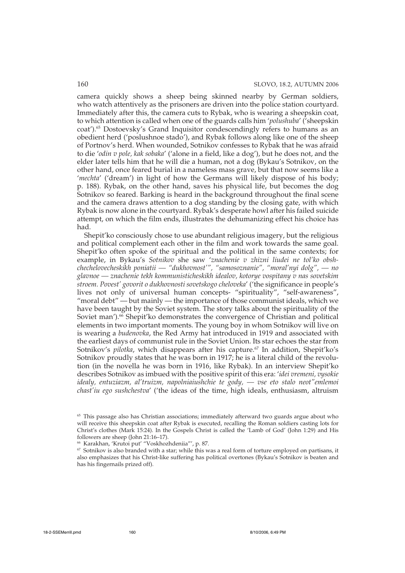camera quickly shows a sheep being skinned nearby by German soldiers, who watch attentively as the prisoners are driven into the police station courtyard. Immediately after this, the camera cuts to Rybak, who is wearing a sheepskin coat, to which attention is called when one of the guards calls him '*polushuba*' ('sheepskin coat').<sup>65</sup> Dostoevsky's Grand Inquisitor condescendingly refers to humans as an obedient herd ('poslushnoe stado'), and Rybak follows along like one of the sheep of Portnov's herd. When wounded, Sotnikov confesses to Rybak that he was afraid to die '*odin v pole, kak sobaka*' ('alone in a field, like a dog'), but he does not, and the elder later tells him that he will die a human, not a dog (Bykau's Sotnikov, on the other hand, once feared burial in a nameless mass grave, but that now seems like a '*mechta*' ('dream') in light of how the Germans will likely dispose of his body; p. 188). Rybak, on the other hand, saves his physical life, but becomes the dog Sotnikov so feared. Barking is heard in the background throughout the final scene and the camera draws attention to a dog standing by the closing gate, with which Rybak is now alone in the courtyard. Rybak's desperate howl after his failed suicide attempt, on which the film ends, illustrates the dehumanizing effect his choice has had.

Shepit'ko consciously chose to use abundant religious imagery, but the religious and political complement each other in the film and work towards the same goal. Shepit'ko often spoke of the spiritual and the political in the same contexts; for example, in Bykau's *Sotnikov* she saw '*znachenie v zhizni liudei ne tol'ko obshchechelovecheskikh poniatii — "dukhovnost'", "samosoznanie", "moral'nyi dolg", — no glavnoe — znachenie tekh kommunisticheskikh idealov, kotorye vospitany v nas sovetskim stroem. Povest' govorit o dukhovnosti sovetskogo cheloveka*' ('the significance in people's lives not only of universal human concepts- "spirituality", "self-awareness", "moral debt" — but mainly — the importance of those communist ideals, which we have been taught by the Soviet system. The story talks about the spirituality of the Soviet man').<sup>66</sup> Shepit'ko demonstrates the convergence of Christian and political elements in two important moments. The young boy in whom Sotnikov will live on is wearing a *budenovka*, the Red Army hat introduced in 1919 and associated with the earliest days of communist rule in the Soviet Union. Its star echoes the star from Sotnikov's *pilotka*, which disappears after his capture.<sup>67</sup> In addition, Shepit'ko's Sotnikov proudly states that he was born in 1917; he is a literal child of the revolution (in the novella he was born in 1916, like Rybak). In an interview Shepit'ko describes Sotnikov as imbued with the positive spirit of this era: '*idei vremeni, vysokie idealy, entuziazm, al'truizm, napolniaiushchie te gody, — vse eto stalo neot"emlemoi chast'iu ego sushchestva*' ('the ideas of the time, high ideals, enthusiasm, altruism

<sup>&</sup>lt;sup>65</sup> This passage also has Christian associations; immediately afterward two guards argue about who will receive this sheepskin coat after Rybak is executed, recalling the Roman soldiers casting lots for Christ's clothes (Mark 15:24). In the Gospels Christ is called the 'Lamb of God' (John 1:29) and His followers are sheep (John 21:16–17).

<sup>66</sup> Karakhan, 'Krutoi put' "Voskhozhdeniia"', p. 87.

 $67$  Sotnikov is also branded with a star; while this was a real form of torture employed on partisans, it also emphasizes that his Christ-like suffering has political overtones (Bykau's Sotnikov is beaten and has his fingernails prized off).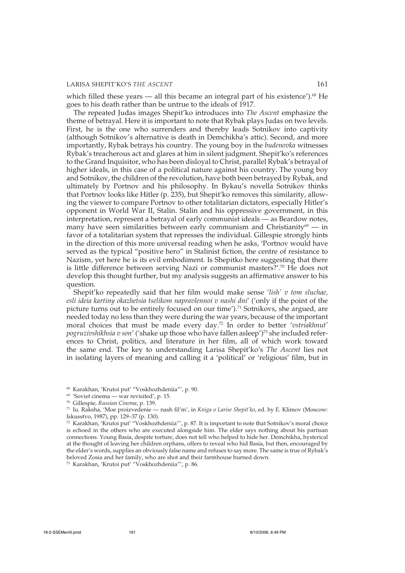which filled these years — all this became an integral part of his existence').<sup>68</sup> He goes to his death rather than be untrue to the ideals of 1917.

The repeated Judas images Shepit'ko introduces into *The Ascent* emphasize the theme of betrayal. Here it is important to note that Rybak plays Judas on two levels. First, he is the one who surrenders and thereby leads Sotnikov into captivity (although Sotnikov's alternative is death in Demchikha's attic). Second, and more importantly, Rybak betrays his country. The young boy in the *budenovka* witnesses Rybak's treacherous act and glares at him in silent judgment. Shepit'ko's references to the Grand Inquisitor, who has been disloyal to Christ, parallel Rybak's betrayal of higher ideals, in this case of a political nature against his country. The young boy and Sotnikov, the children of the revolution, have both been betrayed by Rybak, and ultimately by Portnov and his philosophy. In Bykau's novella Sotnikov thinks that Portnov looks like Hitler (p. 235), but Shepit'ko removes this similarity, allowing the viewer to compare Portnov to other totalitarian dictators, especially Hitler's opponent in World War II, Stalin. Stalin and his oppressive government, in this interpretation, represent a betrayal of early communist ideals — as Beardow notes, many have seen similarities between early communism and Christianity<sup>69</sup> — in favor of a totalitarian system that represses the individual. Gillespie strongly hints in the direction of this more universal reading when he asks, 'Portnov would have served as the typical "positive hero" in Stalinist fiction, the centre of resistance to Nazism, yet here he is its evil embodiment. Is Shepitko here suggesting that there is little difference between serving Nazi or communist masters?'.70 He does not develop this thought further, but my analysis suggests an affirmative answer to his question.

Shepit'ko repeatedly said that her film would make sense '*lish' v tom sluchae, esli ideia kartiny okazhetsia tselikom napravlennoi v nashi dni*' ('only if the point of the picture turns out to be entirely focused on our time').<sup>71</sup> Sotnikovs, she argued, are needed today no less than they were during the war years, because of the important moral choices that must be made every day.72 In order to better '*vstriakhnut'* pogruzivshikhsia v son' ('shake up those who have fallen asleep')<sup>73</sup> she included references to Christ, politics, and literature in her film, all of which work toward the same end. The key to understanding Larisa Shepit'ko's *The Ascent* lies not in isolating layers of meaning and calling it a 'political' or 'religious' film, but in

<sup>73</sup> Karakhan, 'Krutoi put' "Voskhozhdeniia"', p. 86.

<sup>68</sup> Karakhan, 'Krutoi put' "Voskhozhdeniia"', p. 90.

 $69$  'Soviet cinema — war revisited', p. 15.

<sup>70</sup> Gillespie, *Russian Cinema*, p. 139.

<sup>71</sup> Iu. Raksha, 'Moe proizvedenie — nash fil'm', in *Kniga o Larise Shepit'ko*, ed. by E. Klimov (Moscow: Iskusstvo, 1987), pp. 129–37 (p. 130).

<sup>72</sup> Karakhan, 'Krutoi put' "Voskhozhdeniia"', p. 87. It is important to note that Sotnikov's moral choice is echoed in the others who are executed alongside him. The elder says nothing about his partisan connections. Young Basia, despite torture, does not tell who helped to hide her. Demchikha, hysterical at the thought of leaving her children orphans, offers to reveal who hid Basia, but then, encouraged by the elder's words, supplies an obviously false name and refuses to say more. The same is true of Rybak's beloved Zosia and her family, who are shot and their farmhouse burned down.